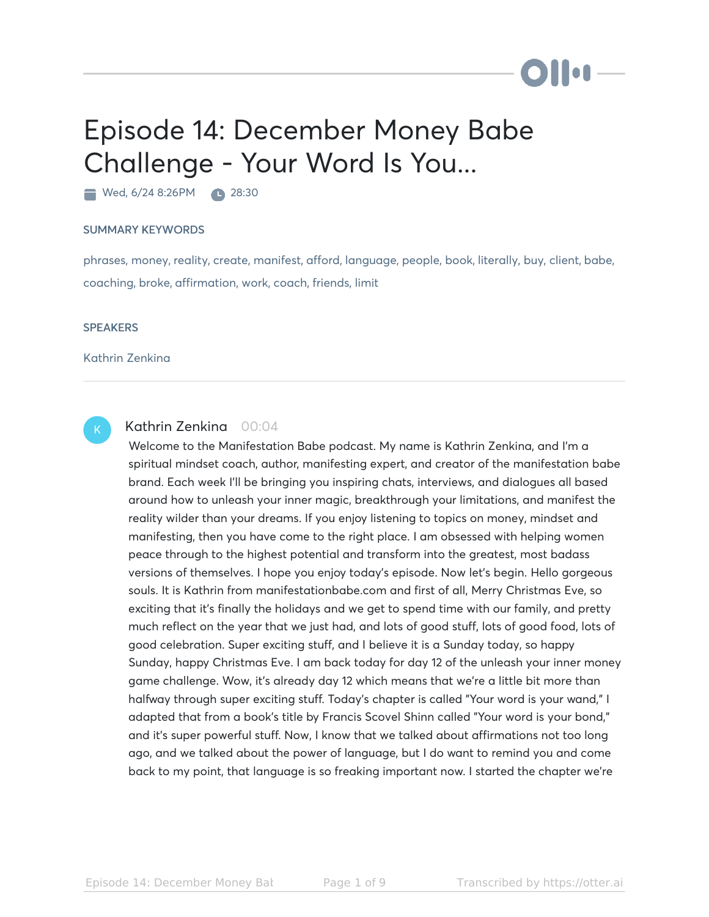## Episode 14: December Money Babe Challenge - Your Word Is You...

Wed, 6/24 8:26PM 28:30

## SUMMARY KEYWORDS

phrases, money, reality, create, manifest, afford, language, people, book, literally, buy, client, babe, coaching, broke, affirmation, work, coach, friends, limit

## **SPEAKERS**

Kathrin Zenkina



## Kathrin Zenkina 00:04

Welcome to the Manifestation Babe podcast. My name is Kathrin Zenkina, and I'm a spiritual mindset coach, author, manifesting expert, and creator of the manifestation babe brand. Each week I'll be bringing you inspiring chats, interviews, and dialogues all based around how to unleash your inner magic, breakthrough your limitations, and manifest the reality wilder than your dreams. If you enjoy listening to topics on money, mindset and manifesting, then you have come to the right place. I am obsessed with helping women peace through to the highest potential and transform into the greatest, most badass versions of themselves. I hope you enjoy today's episode. Now let's begin. Hello gorgeous souls. It is Kathrin from manifestationbabe.com and first of all, Merry Christmas Eve, so exciting that it's finally the holidays and we get to spend time with our family, and pretty much reflect on the year that we just had, and lots of good stuff, lots of good food, lots of good celebration. Super exciting stuff, and I believe it is a Sunday today, so happy Sunday, happy Christmas Eve. I am back today for day 12 of the unleash your inner money game challenge. Wow, it's already day 12 which means that we're a little bit more than halfway through super exciting stuff. Today's chapter is called "Your word is your wand," I adapted that from a book's title by Francis Scovel Shinn called "Your word is your bond," and it's super powerful stuff. Now, I know that we talked about affirmations not too long ago, and we talked about the power of language, but I do want to remind you and come back to my point, that language is so freaking important now. I started the chapter we're

**Dilot**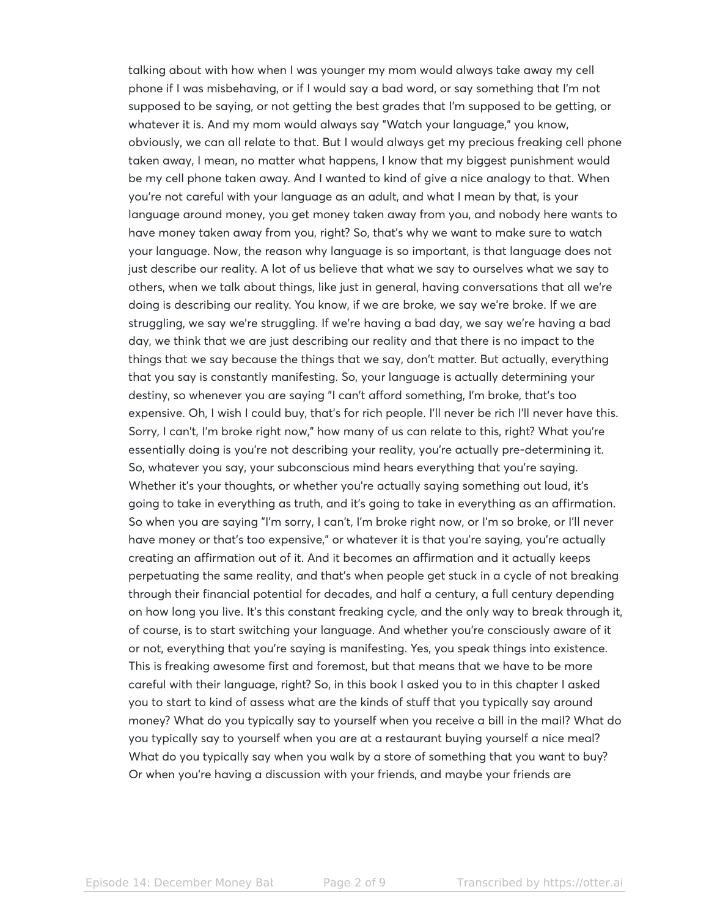talking about with how when I was younger my mom would always take away my cell phone if I was misbehaving, or if I would say a bad word, or say something that I'm not supposed to be saying, or not getting the best grades that I'm supposed to be getting, or whatever it is. And my mom would always say "Watch your language," you know, obviously, we can all relate to that. But I would always get my precious freaking cell phone taken away, I mean, no matter what happens, I know that my biggest punishment would be my cell phone taken away. And I wanted to kind of give a nice analogy to that. When you're not careful with your language as an adult, and what I mean by that, is your language around money, you get money taken away from you, and nobody here wants to have money taken away from you, right? So, that's why we want to make sure to watch your language. Now, the reason why language is so important, is that language does not just describe our reality. A lot of us believe that what we say to ourselves what we say to others, when we talk about things, like just in general, having conversations that all we're doing is describing our reality. You know, if we are broke, we say we're broke. If we are struggling, we say we're struggling. If we're having a bad day, we say we're having a bad day, we think that we are just describing our reality and that there is no impact to the things that we say because the things that we say, don't matter. But actually, everything that you say is constantly manifesting. So, your language is actually determining your destiny, so whenever you are saying "I can't afford something, I'm broke, that's too expensive. Oh, I wish I could buy, that's for rich people. I'll never be rich I'll never have this. Sorry, I can't, I'm broke right now," how many of us can relate to this, right? What you're essentially doing is you're not describing your reality, you're actually pre-determining it. So, whatever you say, your subconscious mind hears everything that you're saying. Whether it's your thoughts, or whether you're actually saying something out loud, it's going to take in everything as truth, and it's going to take in everything as an affirmation. So when you are saying "I'm sorry, I can't, I'm broke right now, or I'm so broke, or I'll never have money or that's too expensive," or whatever it is that you're saying, you're actually creating an affirmation out of it. And it becomes an affirmation and it actually keeps perpetuating the same reality, and that's when people get stuck in a cycle of not breaking through their financial potential for decades, and half a century, a full century depending on how long you live. It's this constant freaking cycle, and the only way to break through it, of course, is to start switching your language. And whether you're consciously aware of it or not, everything that you're saying is manifesting. Yes, you speak things into existence. This is freaking awesome first and foremost, but that means that we have to be more careful with their language, right? So, in this book I asked you to in this chapter I asked you to start to kind of assess what are the kinds of stuff that you typically say around money? What do you typically say to yourself when you receive a bill in the mail? What do you typically say to yourself when you are at a restaurant buying yourself a nice meal? What do you typically say when you walk by a store of something that you want to buy? Or when you're having a discussion with your friends, and maybe your friends are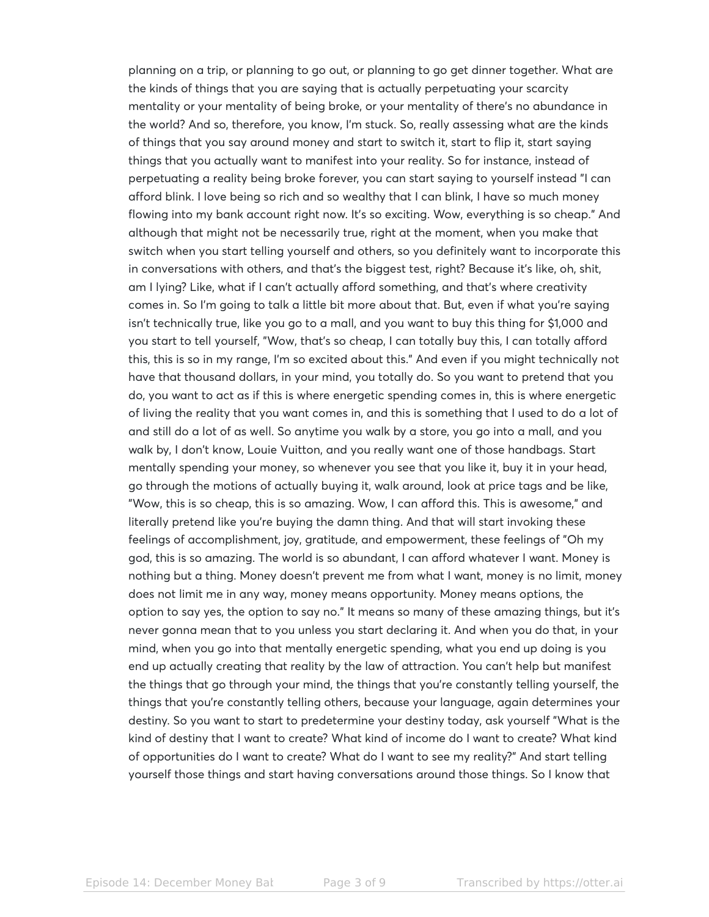planning on a trip, or planning to go out, or planning to go get dinner together. What are the kinds of things that you are saying that is actually perpetuating your scarcity mentality or your mentality of being broke, or your mentality of there's no abundance in the world? And so, therefore, you know, I'm stuck. So, really assessing what are the kinds of things that you say around money and start to switch it, start to flip it, start saying things that you actually want to manifest into your reality. So for instance, instead of perpetuating a reality being broke forever, you can start saying to yourself instead "I can afford blink. I love being so rich and so wealthy that I can blink, I have so much money flowing into my bank account right now. It's so exciting. Wow, everything is so cheap." And although that might not be necessarily true, right at the moment, when you make that switch when you start telling yourself and others, so you definitely want to incorporate this in conversations with others, and that's the biggest test, right? Because it's like, oh, shit, am I lying? Like, what if I can't actually afford something, and that's where creativity comes in. So I'm going to talk a little bit more about that. But, even if what you're saying isn't technically true, like you go to a mall, and you want to buy this thing for \$1,000 and you start to tell yourself, "Wow, that's so cheap, I can totally buy this, I can totally afford this, this is so in my range, I'm so excited about this." And even if you might technically not have that thousand dollars, in your mind, you totally do. So you want to pretend that you do, you want to act as if this is where energetic spending comes in, this is where energetic of living the reality that you want comes in, and this is something that I used to do a lot of and still do a lot of as well. So anytime you walk by a store, you go into a mall, and you walk by, I don't know, Louie Vuitton, and you really want one of those handbags. Start mentally spending your money, so whenever you see that you like it, buy it in your head, go through the motions of actually buying it, walk around, look at price tags and be like, "Wow, this is so cheap, this is so amazing. Wow, I can afford this. This is awesome," and literally pretend like you're buying the damn thing. And that will start invoking these feelings of accomplishment, joy, gratitude, and empowerment, these feelings of "Oh my god, this is so amazing. The world is so abundant, I can afford whatever I want. Money is nothing but a thing. Money doesn't prevent me from what I want, money is no limit, money does not limit me in any way, money means opportunity. Money means options, the option to say yes, the option to say no." It means so many of these amazing things, but it's never gonna mean that to you unless you start declaring it. And when you do that, in your mind, when you go into that mentally energetic spending, what you end up doing is you end up actually creating that reality by the law of attraction. You can't help but manifest the things that go through your mind, the things that you're constantly telling yourself, the things that you're constantly telling others, because your language, again determines your destiny. So you want to start to predetermine your destiny today, ask yourself "What is the kind of destiny that I want to create? What kind of income do I want to create? What kind of opportunities do I want to create? What do I want to see my reality?" And start telling yourself those things and start having conversations around those things. So I know that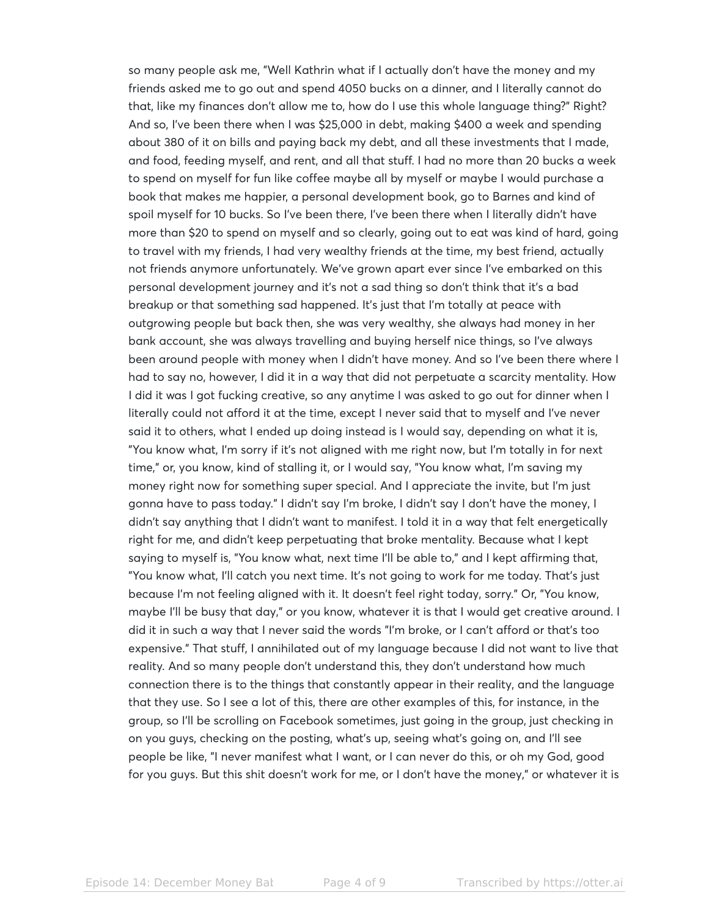so many people ask me, "Well Kathrin what if I actually don't have the money and my friends asked me to go out and spend 4050 bucks on a dinner, and I literally cannot do that, like my finances don't allow me to, how do I use this whole language thing?" Right? And so, I've been there when I was \$25,000 in debt, making \$400 a week and spending about 380 of it on bills and paying back my debt, and all these investments that I made, and food, feeding myself, and rent, and all that stuff. I had no more than 20 bucks a week to spend on myself for fun like coffee maybe all by myself or maybe I would purchase a book that makes me happier, a personal development book, go to Barnes and kind of spoil myself for 10 bucks. So I've been there, I've been there when I literally didn't have more than \$20 to spend on myself and so clearly, going out to eat was kind of hard, going to travel with my friends, I had very wealthy friends at the time, my best friend, actually not friends anymore unfortunately. We've grown apart ever since I've embarked on this personal development journey and it's not a sad thing so don't think that it's a bad breakup or that something sad happened. It's just that I'm totally at peace with outgrowing people but back then, she was very wealthy, she always had money in her bank account, she was always travelling and buying herself nice things, so I've always been around people with money when I didn't have money. And so I've been there where I had to say no, however, I did it in a way that did not perpetuate a scarcity mentality. How I did it was I got fucking creative, so any anytime I was asked to go out for dinner when I literally could not afford it at the time, except I never said that to myself and I've never said it to others, what I ended up doing instead is I would say, depending on what it is, "You know what, I'm sorry if it's not aligned with me right now, but I'm totally in for next time," or, you know, kind of stalling it, or I would say, "You know what, I'm saving my money right now for something super special. And I appreciate the invite, but I'm just gonna have to pass today." I didn't say I'm broke, I didn't say I don't have the money, I didn't say anything that I didn't want to manifest. I told it in a way that felt energetically right for me, and didn't keep perpetuating that broke mentality. Because what I kept saying to myself is, "You know what, next time I'll be able to," and I kept affirming that, "You know what, I'll catch you next time. It's not going to work for me today. That's just because I'm not feeling aligned with it. It doesn't feel right today, sorry." Or, "You know, maybe I'll be busy that day," or you know, whatever it is that I would get creative around. I did it in such a way that I never said the words "I'm broke, or I can't afford or that's too expensive." That stuff, I annihilated out of my language because I did not want to live that reality. And so many people don't understand this, they don't understand how much connection there is to the things that constantly appear in their reality, and the language that they use. So I see a lot of this, there are other examples of this, for instance, in the group, so I'll be scrolling on Facebook sometimes, just going in the group, just checking in on you guys, checking on the posting, what's up, seeing what's going on, and I'll see people be like, "I never manifest what I want, or I can never do this, or oh my God, good for you guys. But this shit doesn't work for me, or I don't have the money," or whatever it is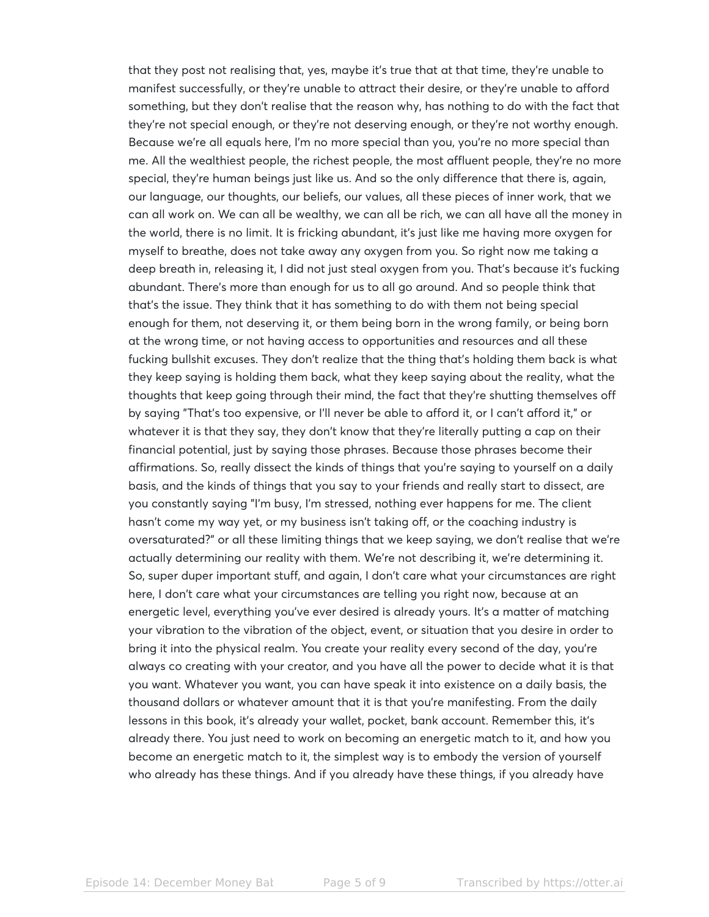that they post not realising that, yes, maybe it's true that at that time, they're unable to manifest successfully, or they're unable to attract their desire, or they're unable to afford something, but they don't realise that the reason why, has nothing to do with the fact that they're not special enough, or they're not deserving enough, or they're not worthy enough. Because we're all equals here, I'm no more special than you, you're no more special than me. All the wealthiest people, the richest people, the most affluent people, they're no more special, they're human beings just like us. And so the only difference that there is, again, our language, our thoughts, our beliefs, our values, all these pieces of inner work, that we can all work on. We can all be wealthy, we can all be rich, we can all have all the money in the world, there is no limit. It is fricking abundant, it's just like me having more oxygen for myself to breathe, does not take away any oxygen from you. So right now me taking a deep breath in, releasing it, I did not just steal oxygen from you. That's because it's fucking abundant. There's more than enough for us to all go around. And so people think that that's the issue. They think that it has something to do with them not being special enough for them, not deserving it, or them being born in the wrong family, or being born at the wrong time, or not having access to opportunities and resources and all these fucking bullshit excuses. They don't realize that the thing that's holding them back is what they keep saying is holding them back, what they keep saying about the reality, what the thoughts that keep going through their mind, the fact that they're shutting themselves off by saying "That's too expensive, or I'll never be able to afford it, or I can't afford it," or whatever it is that they say, they don't know that they're literally putting a cap on their financial potential, just by saying those phrases. Because those phrases become their affirmations. So, really dissect the kinds of things that you're saying to yourself on a daily basis, and the kinds of things that you say to your friends and really start to dissect, are you constantly saying "I'm busy, I'm stressed, nothing ever happens for me. The client hasn't come my way yet, or my business isn't taking off, or the coaching industry is oversaturated?" or all these limiting things that we keep saying, we don't realise that we're actually determining our reality with them. We're not describing it, we're determining it. So, super duper important stuff, and again, I don't care what your circumstances are right here, I don't care what your circumstances are telling you right now, because at an energetic level, everything you've ever desired is already yours. It's a matter of matching your vibration to the vibration of the object, event, or situation that you desire in order to bring it into the physical realm. You create your reality every second of the day, you're always co creating with your creator, and you have all the power to decide what it is that you want. Whatever you want, you can have speak it into existence on a daily basis, the thousand dollars or whatever amount that it is that you're manifesting. From the daily lessons in this book, it's already your wallet, pocket, bank account. Remember this, it's already there. You just need to work on becoming an energetic match to it, and how you become an energetic match to it, the simplest way is to embody the version of yourself who already has these things. And if you already have these things, if you already have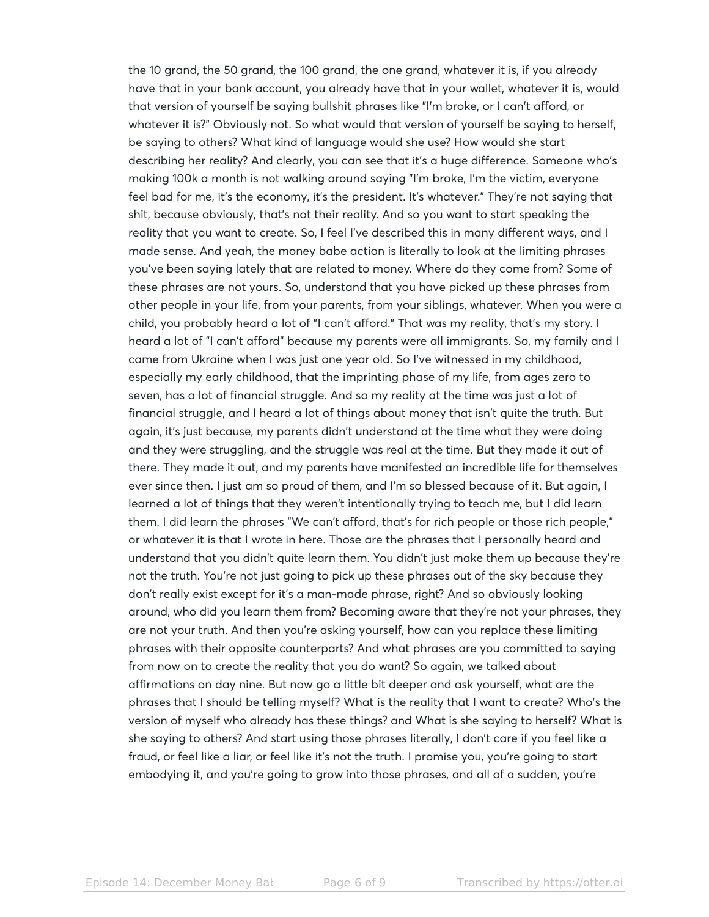the 10 grand, the 50 grand, the 100 grand, the one grand, whatever it is, if you already have that in your bank account, you already have that in your wallet, whatever it is, would that version of yourself be saying bullshit phrases like "I'm broke, or I can't afford, or whatever it is?" Obviously not. So what would that version of yourself be saying to herself, be saying to others? What kind of language would she use? How would she start describing her reality? And clearly, you can see that it's a huge difference. Someone who's making 100k a month is not walking around saying "I'm broke, I'm the victim, everyone feel bad for me, it's the economy, it's the president. It's whatever." They're not saying that shit, because obviously, that's not their reality. And so you want to start speaking the reality that you want to create. So, I feel I've described this in many different ways, and I made sense. And yeah, the money babe action is literally to look at the limiting phrases you've been saying lately that are related to money. Where do they come from? Some of these phrases are not yours. So, understand that you have picked up these phrases from other people in your life, from your parents, from your siblings, whatever. When you were a child, you probably heard a lot of "I can't afford." That was my reality, that's my story. I heard a lot of "I can't afford" because my parents were all immigrants. So, my family and I came from Ukraine when I was just one year old. So I've witnessed in my childhood, especially my early childhood, that the imprinting phase of my life, from ages zero to seven, has a lot of financial struggle. And so my reality at the time was just a lot of financial struggle, and I heard a lot of things about money that isn't quite the truth. But again, it's just because, my parents didn't understand at the time what they were doing and they were struggling, and the struggle was real at the time. But they made it out of there. They made it out, and my parents have manifested an incredible life for themselves ever since then. I just am so proud of them, and I'm so blessed because of it. But again, I learned a lot of things that they weren't intentionally trying to teach me, but I did learn them. I did learn the phrases "We can't afford, that's for rich people or those rich people," or whatever it is that I wrote in here. Those are the phrases that I personally heard and understand that you didn't quite learn them. You didn't just make them up because they're not the truth. You're not just going to pick up these phrases out of the sky because they don't really exist except for it's a man-made phrase, right? And so obviously looking around, who did you learn them from? Becoming aware that they're not your phrases, they are not your truth. And then you're asking yourself, how can you replace these limiting phrases with their opposite counterparts? And what phrases are you committed to saying from now on to create the reality that you do want? So again, we talked about affirmations on day nine. But now go a little bit deeper and ask yourself, what are the phrases that I should be telling myself? What is the reality that I want to create? Who's the version of myself who already has these things? and What is she saying to herself? What is she saying to others? And start using those phrases literally, I don't care if you feel like a fraud, or feel like a liar, or feel like it's not the truth. I promise you, you're going to start embodying it, and you're going to grow into those phrases, and all of a sudden, you're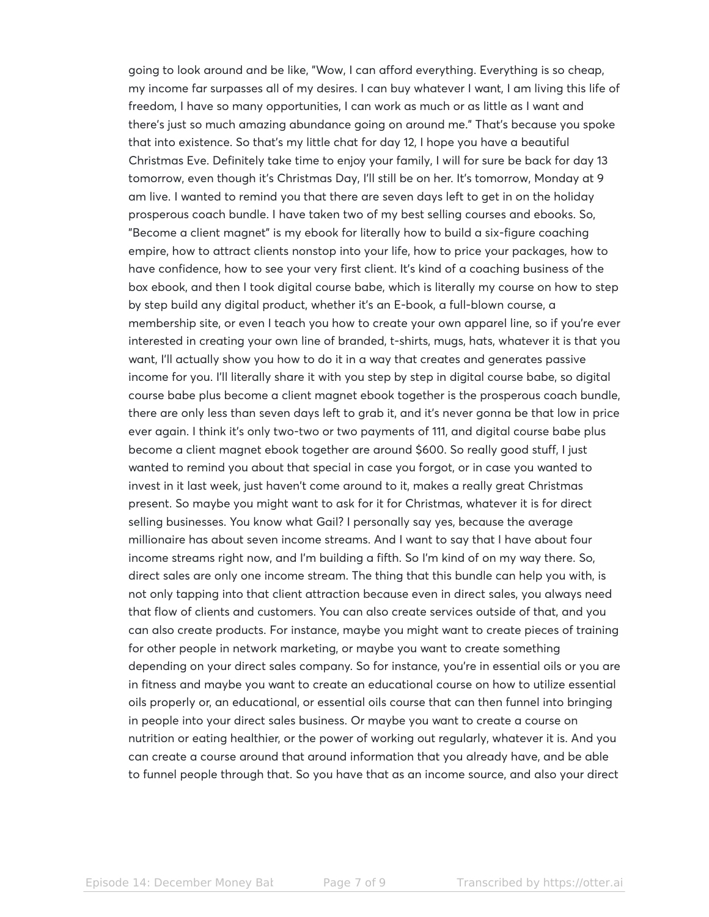going to look around and be like, "Wow, I can afford everything. Everything is so cheap, my income far surpasses all of my desires. I can buy whatever I want, I am living this life of freedom, I have so many opportunities, I can work as much or as little as I want and there's just so much amazing abundance going on around me." That's because you spoke that into existence. So that's my little chat for day 12, I hope you have a beautiful Christmas Eve. Definitely take time to enjoy your family, I will for sure be back for day 13 tomorrow, even though it's Christmas Day, I'll still be on her. It's tomorrow, Monday at 9 am live. I wanted to remind you that there are seven days left to get in on the holiday prosperous coach bundle. I have taken two of my best selling courses and ebooks. So, "Become a client magnet" is my ebook for literally how to build a six-figure coaching empire, how to attract clients nonstop into your life, how to price your packages, how to have confidence, how to see your very first client. It's kind of a coaching business of the box ebook, and then I took digital course babe, which is literally my course on how to step by step build any digital product, whether it's an E-book, a full-blown course, a membership site, or even I teach you how to create your own apparel line, so if you're ever interested in creating your own line of branded, t-shirts, mugs, hats, whatever it is that you want, I'll actually show you how to do it in a way that creates and generates passive income for you. I'll literally share it with you step by step in digital course babe, so digital course babe plus become a client magnet ebook together is the prosperous coach bundle, there are only less than seven days left to grab it, and it's never gonna be that low in price ever again. I think it's only two-two or two payments of 111, and digital course babe plus become a client magnet ebook together are around \$600. So really good stuff, I just wanted to remind you about that special in case you forgot, or in case you wanted to invest in it last week, just haven't come around to it, makes a really great Christmas present. So maybe you might want to ask for it for Christmas, whatever it is for direct selling businesses. You know what Gail? I personally say yes, because the average millionaire has about seven income streams. And I want to say that I have about four income streams right now, and I'm building a fifth. So I'm kind of on my way there. So, direct sales are only one income stream. The thing that this bundle can help you with, is not only tapping into that client attraction because even in direct sales, you always need that flow of clients and customers. You can also create services outside of that, and you can also create products. For instance, maybe you might want to create pieces of training for other people in network marketing, or maybe you want to create something depending on your direct sales company. So for instance, you're in essential oils or you are in fitness and maybe you want to create an educational course on how to utilize essential oils properly or, an educational, or essential oils course that can then funnel into bringing in people into your direct sales business. Or maybe you want to create a course on nutrition or eating healthier, or the power of working out regularly, whatever it is. And you can create a course around that around information that you already have, and be able to funnel people through that. So you have that as an income source, and also your direct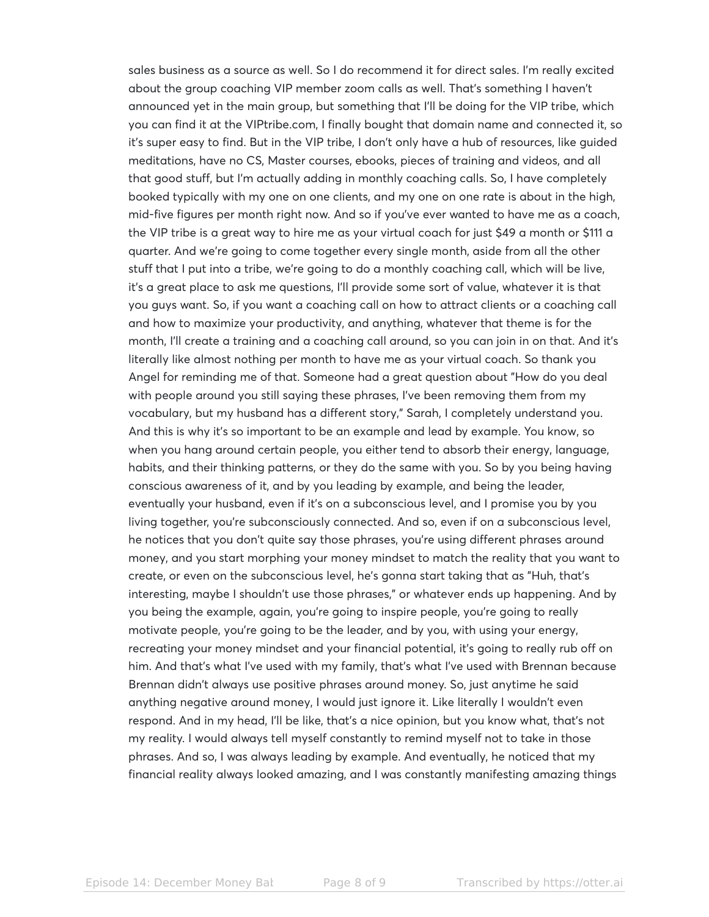sales business as a source as well. So I do recommend it for direct sales. I'm really excited about the group coaching VIP member zoom calls as well. That's something I haven't announced yet in the main group, but something that I'll be doing for the VIP tribe, which you can find it at the VIPtribe.com, I finally bought that domain name and connected it, so it's super easy to find. But in the VIP tribe, I don't only have a hub of resources, like guided meditations, have no CS, Master courses, ebooks, pieces of training and videos, and all that good stuff, but I'm actually adding in monthly coaching calls. So, I have completely booked typically with my one on one clients, and my one on one rate is about in the high, mid-five figures per month right now. And so if you've ever wanted to have me as a coach, the VIP tribe is a great way to hire me as your virtual coach for just \$49 a month or \$111 a quarter. And we're going to come together every single month, aside from all the other stuff that I put into a tribe, we're going to do a monthly coaching call, which will be live, it's a great place to ask me questions, I'll provide some sort of value, whatever it is that you guys want. So, if you want a coaching call on how to attract clients or a coaching call and how to maximize your productivity, and anything, whatever that theme is for the month, I'll create a training and a coaching call around, so you can join in on that. And it's literally like almost nothing per month to have me as your virtual coach. So thank you Angel for reminding me of that. Someone had a great question about "How do you deal with people around you still saying these phrases, I've been removing them from my vocabulary, but my husband has a different story," Sarah, I completely understand you. And this is why it's so important to be an example and lead by example. You know, so when you hang around certain people, you either tend to absorb their energy, language, habits, and their thinking patterns, or they do the same with you. So by you being having conscious awareness of it, and by you leading by example, and being the leader, eventually your husband, even if it's on a subconscious level, and I promise you by you living together, you're subconsciously connected. And so, even if on a subconscious level, he notices that you don't quite say those phrases, you're using different phrases around money, and you start morphing your money mindset to match the reality that you want to create, or even on the subconscious level, he's gonna start taking that as "Huh, that's interesting, maybe I shouldn't use those phrases," or whatever ends up happening. And by you being the example, again, you're going to inspire people, you're going to really motivate people, you're going to be the leader, and by you, with using your energy, recreating your money mindset and your financial potential, it's going to really rub off on him. And that's what I've used with my family, that's what I've used with Brennan because Brennan didn't always use positive phrases around money. So, just anytime he said anything negative around money, I would just ignore it. Like literally I wouldn't even respond. And in my head, I'll be like, that's a nice opinion, but you know what, that's not my reality. I would always tell myself constantly to remind myself not to take in those phrases. And so, I was always leading by example. And eventually, he noticed that my financial reality always looked amazing, and I was constantly manifesting amazing things